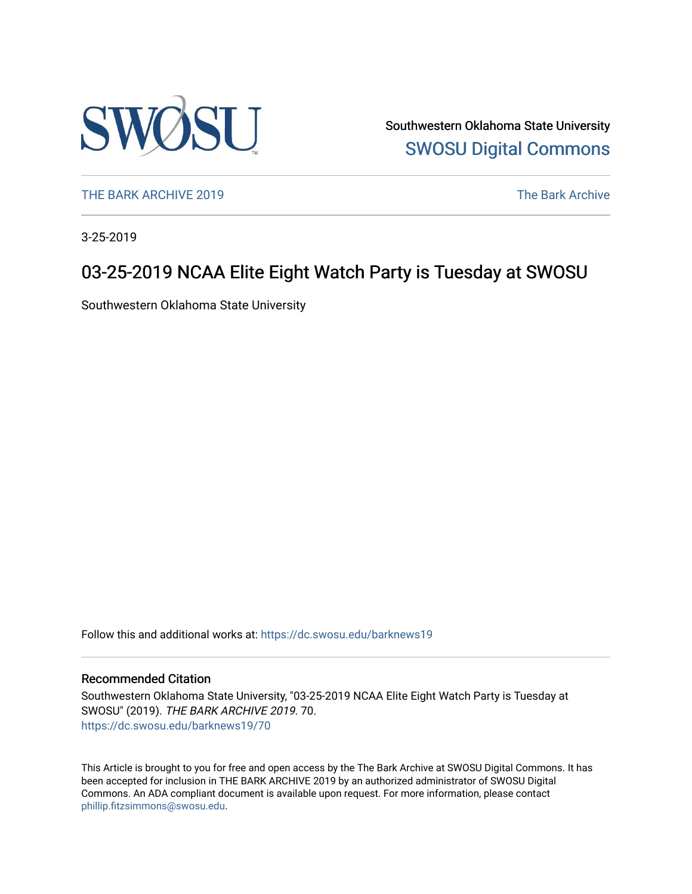

Southwestern Oklahoma State University [SWOSU Digital Commons](https://dc.swosu.edu/) 

[THE BARK ARCHIVE 2019](https://dc.swosu.edu/barknews19) The Bark Archive

3-25-2019

### 03-25-2019 NCAA Elite Eight Watch Party is Tuesday at SWOSU

Southwestern Oklahoma State University

Follow this and additional works at: [https://dc.swosu.edu/barknews19](https://dc.swosu.edu/barknews19?utm_source=dc.swosu.edu%2Fbarknews19%2F70&utm_medium=PDF&utm_campaign=PDFCoverPages)

#### Recommended Citation

Southwestern Oklahoma State University, "03-25-2019 NCAA Elite Eight Watch Party is Tuesday at SWOSU" (2019). THE BARK ARCHIVE 2019. 70. [https://dc.swosu.edu/barknews19/70](https://dc.swosu.edu/barknews19/70?utm_source=dc.swosu.edu%2Fbarknews19%2F70&utm_medium=PDF&utm_campaign=PDFCoverPages) 

This Article is brought to you for free and open access by the The Bark Archive at SWOSU Digital Commons. It has been accepted for inclusion in THE BARK ARCHIVE 2019 by an authorized administrator of SWOSU Digital Commons. An ADA compliant document is available upon request. For more information, please contact [phillip.fitzsimmons@swosu.edu](mailto:phillip.fitzsimmons@swosu.edu).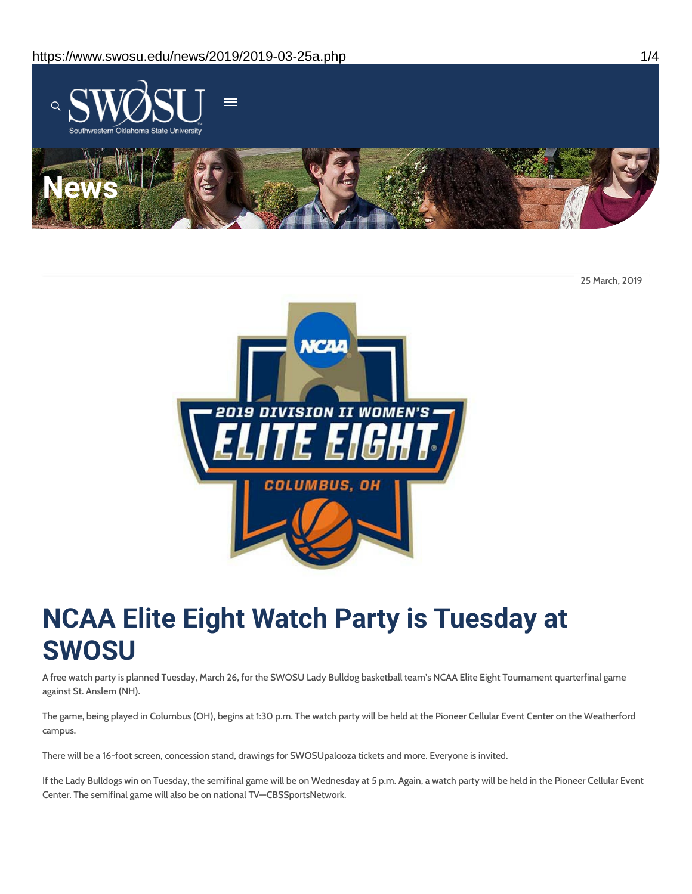

25 March, 2019



# **NCAA Elite Eight Watch Party is Tuesday at SWOSU**

A free watch party is planned Tuesday, March 26, for the SWOSU Lady Bulldog basketball team's NCAA Elite Eight Tournament quarterfinal game against St. Anslem (NH).

The game, being played in Columbus (OH), begins at 1:30 p.m. The watch party will be held at the Pioneer Cellular Event Center on the Weatherford campus.

There will be a 16-foot screen, concession stand, drawings for SWOSUpalooza tickets and more. Everyone is invited.

If the Lady Bulldogs win on Tuesday, the semifinal game will be on Wednesday at 5 p.m. Again, a watch party will be held in the Pioneer Cellular Event Center. The semifinal game will also be on national TV—CBSSportsNetwork.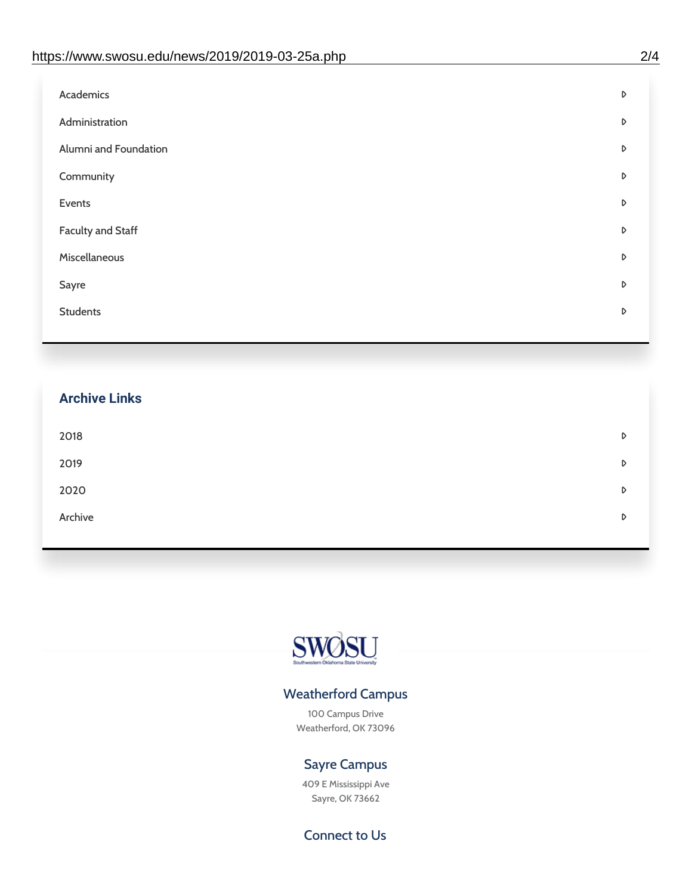| Administration<br>D<br>Alumni and Foundation<br>D<br>Community<br>D<br>Events<br>D | Academics | D |
|------------------------------------------------------------------------------------|-----------|---|
|                                                                                    |           |   |
|                                                                                    |           |   |
|                                                                                    |           |   |
|                                                                                    |           |   |
| <b>Faculty and Staff</b><br>D                                                      |           |   |
| Miscellaneous<br>D                                                                 |           |   |
| Sayre<br>D                                                                         |           |   |
| <b>Students</b><br>D                                                               |           |   |

# **Archive Links**  $2018$  $2019$ [2020](https://www.swosu.edu/news/2020/index.php)  $\bullet$ [Archive](https://dc.swosu.edu/bark/) **Archive Archive Archive Archive Archive** Archive Archive Archive Archive Archive Archive Archive Archive



### Weatherford Campus

100 Campus Drive Weatherford, OK 73096

### Sayre Campus

409 E Mississippi Ave Sayre, OK 73662

Connect to Us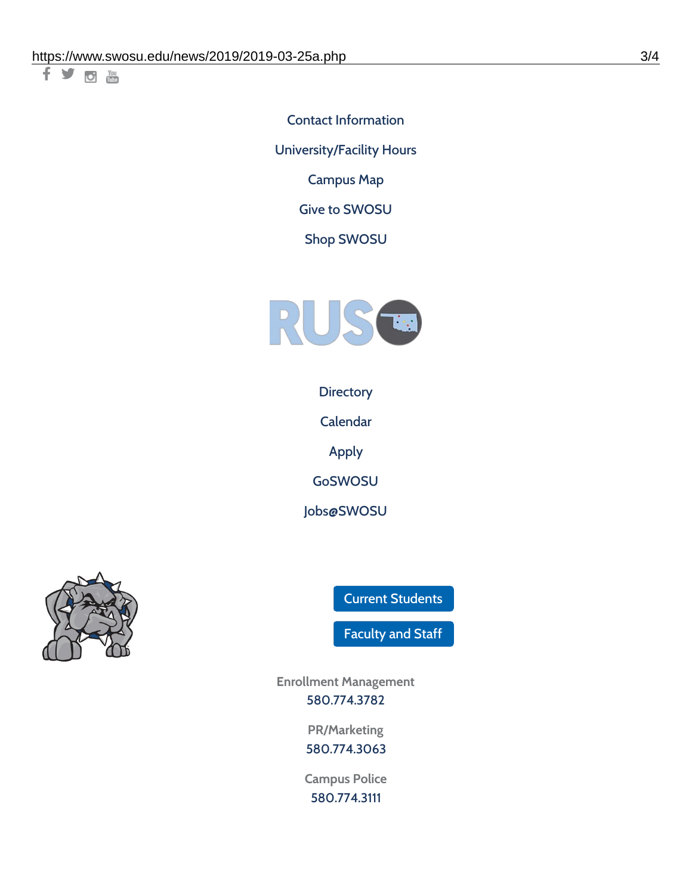千岁回调

Contact [Information](https://www.swosu.edu/about/contact.php) [University/Facility](https://www.swosu.edu/about/operating-hours.php) Hours [Campus](https://map.concept3d.com/?id=768#!ct/10964,10214,10213,10212,10205,10204,10203,10202,10136,10129,10128,0,31226,10130,10201,10641,0) Map

Give to [SWOSU](https://standingfirmly.com/donate)

Shop [SWOSU](https://shopswosu.merchorders.com/)



**[Directory](https://www.swosu.edu/directory/index.php)** 

[Calendar](https://eventpublisher.dudesolutions.com/swosu/)

[Apply](https://www.swosu.edu/admissions/apply-to-swosu.php)

[GoSWOSU](https://qlsso.quicklaunchsso.com/home/1267)

[Jobs@SWOSU](https://swosu.csod.com/ux/ats/careersite/1/home?c=swosu)



Current [Students](https://bulldog.swosu.edu/index.php)

[Faculty](https://bulldog.swosu.edu/faculty-staff/index.php) and Staff

**Enrollment Management** [580.774.3782](tel:5807743782)

> **PR/Marketing** [580.774.3063](tel:5807743063)

**Campus Police** [580.774.3111](tel:5807743111)